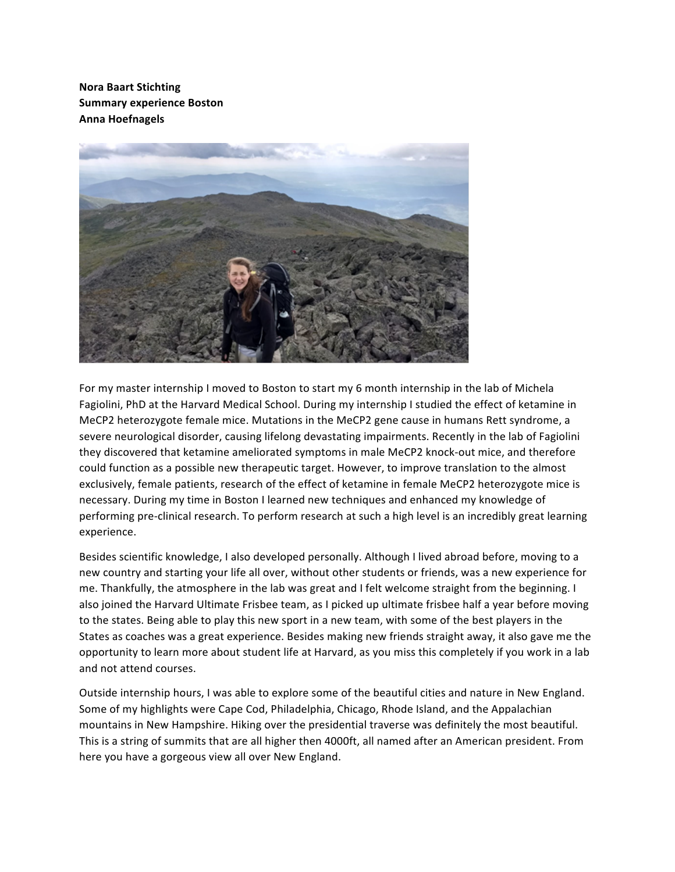**Nora Baart Stichting Summary experience Boston Anna Hoefnagels**



For my master internship I moved to Boston to start my 6 month internship in the lab of Michela Fagiolini, PhD at the Harvard Medical School. During my internship I studied the effect of ketamine in MeCP2 heterozygote female mice. Mutations in the MeCP2 gene cause in humans Rett syndrome, a severe neurological disorder, causing lifelong devastating impairments. Recently in the lab of Fagiolini they discovered that ketamine ameliorated symptoms in male MeCP2 knock-out mice, and therefore could function as a possible new therapeutic target. However, to improve translation to the almost exclusively, female patients, research of the effect of ketamine in female MeCP2 heterozygote mice is necessary. During my time in Boston I learned new techniques and enhanced my knowledge of performing pre-clinical research. To perform research at such a high level is an incredibly great learning experience.

Besides scientific knowledge, I also developed personally. Although I lived abroad before, moving to a new country and starting your life all over, without other students or friends, was a new experience for me. Thankfully, the atmosphere in the lab was great and I felt welcome straight from the beginning. I also joined the Harvard Ultimate Frisbee team, as I picked up ultimate frisbee half a year before moving to the states. Being able to play this new sport in a new team, with some of the best players in the States as coaches was a great experience. Besides making new friends straight away, it also gave me the opportunity to learn more about student life at Harvard, as you miss this completely if you work in a lab and not attend courses.

Outside internship hours, I was able to explore some of the beautiful cities and nature in New England. Some of my highlights were Cape Cod, Philadelphia, Chicago, Rhode Island, and the Appalachian mountains in New Hampshire. Hiking over the presidential traverse was definitely the most beautiful. This is a string of summits that are all higher then 4000ft, all named after an American president. From here you have a gorgeous view all over New England.